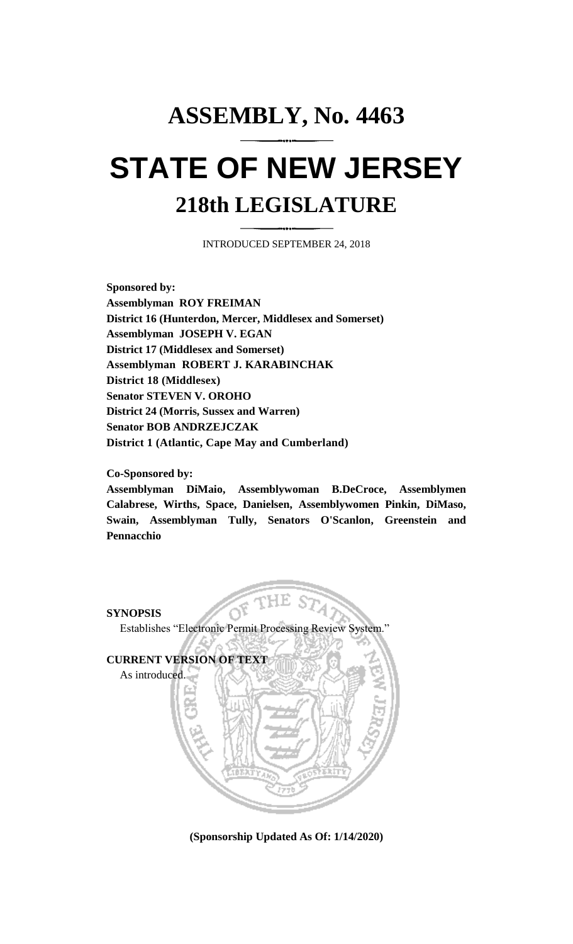# **ASSEMBLY, No. 4463 STATE OF NEW JERSEY 218th LEGISLATURE**

INTRODUCED SEPTEMBER 24, 2018

**Sponsored by: Assemblyman ROY FREIMAN District 16 (Hunterdon, Mercer, Middlesex and Somerset) Assemblyman JOSEPH V. EGAN District 17 (Middlesex and Somerset) Assemblyman ROBERT J. KARABINCHAK District 18 (Middlesex) Senator STEVEN V. OROHO District 24 (Morris, Sussex and Warren) Senator BOB ANDRZEJCZAK District 1 (Atlantic, Cape May and Cumberland)**

## **Co-Sponsored by:**

**Assemblyman DiMaio, Assemblywoman B.DeCroce, Assemblymen Calabrese, Wirths, Space, Danielsen, Assemblywomen Pinkin, DiMaso, Swain, Assemblyman Tully, Senators O'Scanlon, Greenstein and Pennacchio**



**(Sponsorship Updated As Of: 1/14/2020)**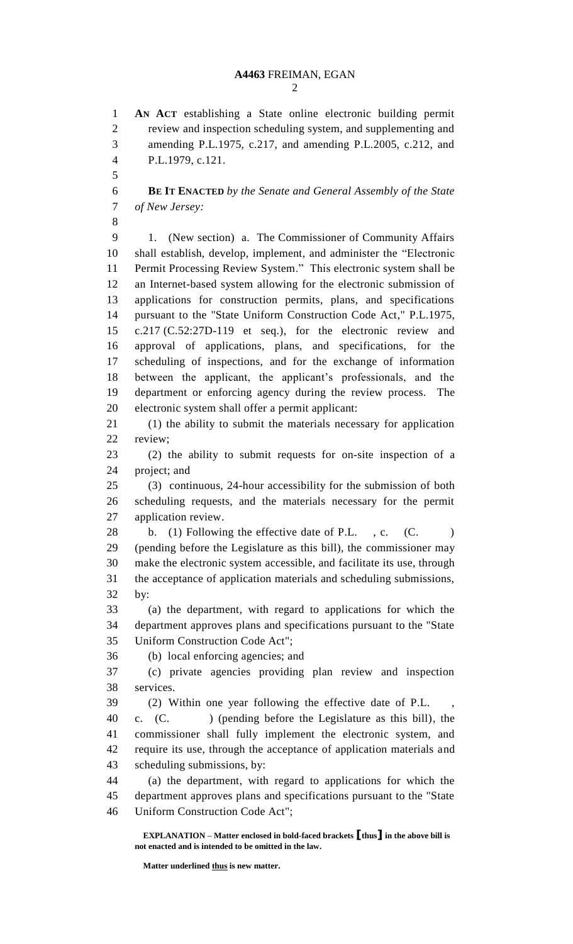**AN ACT** establishing a State online electronic building permit review and inspection scheduling system, and supplementing and amending P.L.1975, c.217, and amending P.L.2005, c.212, and P.L.1979, c.121.

 **BE IT ENACTED** *by the Senate and General Assembly of the State of New Jersey:*

 1. (New section) a. The Commissioner of Community Affairs shall establish, develop, implement, and administer the "Electronic Permit Processing Review System." This electronic system shall be an Internet-based system allowing for the electronic submission of applications for construction permits, plans, and specifications pursuant to the "State Uniform Construction Code Act," P.L.1975, c.217 (C.52:27D-119 et seq.), for the electronic review and approval of applications, plans, and specifications, for the scheduling of inspections, and for the exchange of information between the applicant, the applicant's professionals, and the department or enforcing agency during the review process. The electronic system shall offer a permit applicant:

 (1) the ability to submit the materials necessary for application review;

 (2) the ability to submit requests for on-site inspection of a project; and

 (3) continuous, 24-hour accessibility for the submission of both scheduling requests, and the materials necessary for the permit application review.

28 b. (1) Following the effective date of P.L., c. (C. ) (pending before the Legislature as this bill), the commissioner may make the electronic system accessible, and facilitate its use, through the acceptance of application materials and scheduling submissions, by:

 (a) the department, with regard to applications for which the department approves plans and specifications pursuant to the "State Uniform Construction Code Act";

(b) local enforcing agencies; and

 (c) private agencies providing plan review and inspection services.

 (2) Within one year following the effective date of P.L. , c. (C. ) (pending before the Legislature as this bill), the

 commissioner shall fully implement the electronic system, and require its use, through the acceptance of application materials and scheduling submissions, by:

 (a) the department, with regard to applications for which the department approves plans and specifications pursuant to the "State Uniform Construction Code Act";

**EXPLANATION – Matter enclosed in bold-faced brackets [thus] in the above bill is not enacted and is intended to be omitted in the law.**

**Matter underlined thus is new matter.**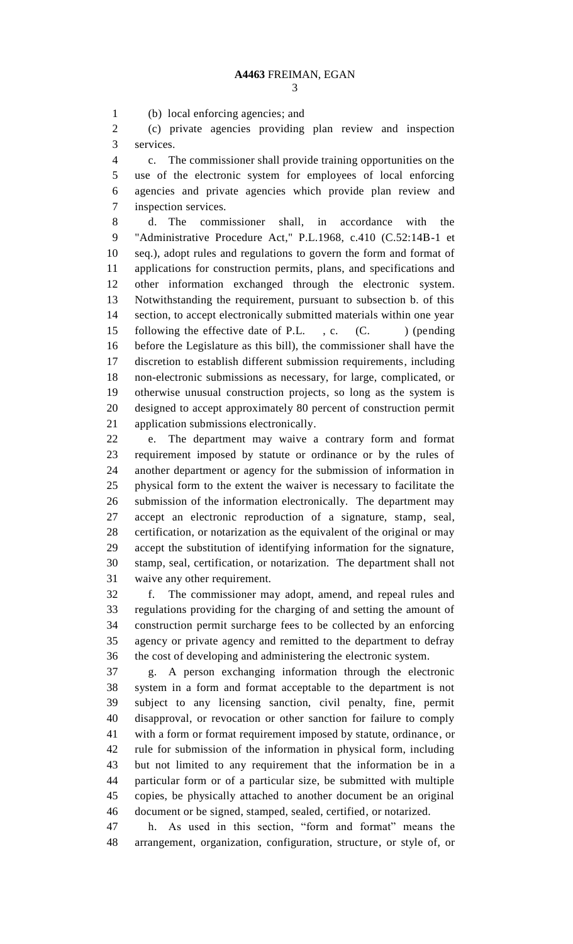(b) local enforcing agencies; and

 (c) private agencies providing plan review and inspection services.

 c. The commissioner shall provide training opportunities on the use of the electronic system for employees of local enforcing agencies and private agencies which provide plan review and inspection services.

 d. The commissioner shall, in accordance with the "Administrative Procedure Act," P.L.1968, c.410 (C.52:14B-1 et seq.), adopt rules and regulations to govern the form and format of applications for construction permits, plans, and specifications and other information exchanged through the electronic system. Notwithstanding the requirement, pursuant to subsection b. of this section, to accept electronically submitted materials within one year 15 following the effective date of P.L., c. (C. ) (pending before the Legislature as this bill), the commissioner shall have the discretion to establish different submission requirements, including non-electronic submissions as necessary, for large, complicated, or otherwise unusual construction projects, so long as the system is designed to accept approximately 80 percent of construction permit application submissions electronically.

 e. The department may waive a contrary form and format requirement imposed by statute or ordinance or by the rules of another department or agency for the submission of information in physical form to the extent the waiver is necessary to facilitate the submission of the information electronically. The department may accept an electronic reproduction of a signature, stamp, seal, certification, or notarization as the equivalent of the original or may accept the substitution of identifying information for the signature, stamp, seal, certification, or notarization. The department shall not waive any other requirement.

 f. The commissioner may adopt, amend, and repeal rules and regulations providing for the charging of and setting the amount of construction permit surcharge fees to be collected by an enforcing agency or private agency and remitted to the department to defray the cost of developing and administering the electronic system.

 g. A person exchanging information through the electronic system in a form and format acceptable to the department is not subject to any licensing sanction, civil penalty, fine, permit disapproval, or revocation or other sanction for failure to comply with a form or format requirement imposed by statute, ordinance, or rule for submission of the information in physical form, including but not limited to any requirement that the information be in a particular form or of a particular size, be submitted with multiple copies, be physically attached to another document be an original document or be signed, stamped, sealed, certified, or notarized.

 h. As used in this section, "form and format" means the arrangement, organization, configuration, structure, or style of, or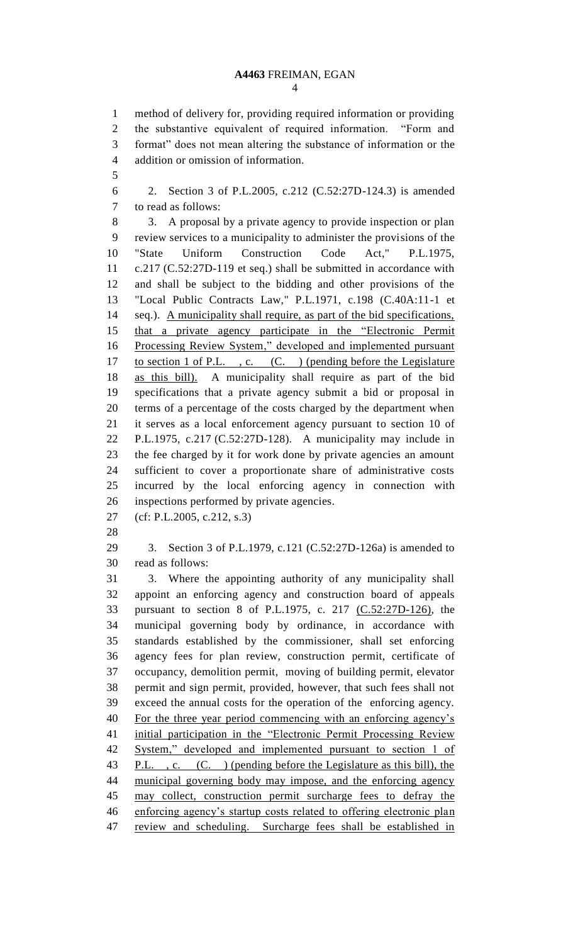#### **A4463** FREIMAN, EGAN  $\Delta$

 method of delivery for, providing required information or providing the substantive equivalent of required information. "Form and format" does not mean altering the substance of information or the addition or omission of information.

 2. Section 3 of P.L.2005, c.212 (C.52:27D-124.3) is amended to read as follows:

 3. A proposal by a private agency to provide inspection or plan review services to a municipality to administer the provisions of the "State Uniform Construction Code Act," P.L.1975, c.217 (C.52:27D-119 et seq.) shall be submitted in accordance with and shall be subject to the bidding and other provisions of the "Local Public Contracts Law," P.L.1971, c.198 (C.40A:11-1 et seq.). A municipality shall require, as part of the bid specifications, that a private agency participate in the "Electronic Permit Processing Review System," developed and implemented pursuant to section 1 of P.L. , c. (C. ) (pending before the Legislature as this bill). A municipality shall require as part of the bid specifications that a private agency submit a bid or proposal in terms of a percentage of the costs charged by the department when it serves as a local enforcement agency pursuant to section 10 of P.L.1975, c.217 (C.52:27D-128). A municipality may include in the fee charged by it for work done by private agencies an amount sufficient to cover a proportionate share of administrative costs incurred by the local enforcing agency in connection with inspections performed by private agencies.

- (cf: P.L.2005, c.212, s.3)
- 

 3. Section 3 of P.L.1979, c.121 (C.52:27D-126a) is amended to read as follows:

 3. Where the appointing authority of any municipality shall appoint an enforcing agency and construction board of appeals pursuant to section 8 of P.L.1975, c. 217 (C.52:27D-126), the municipal governing body by ordinance, in accordance with standards established by the commissioner, shall set enforcing agency fees for plan review, construction permit, certificate of occupancy, demolition permit, moving of building permit, elevator permit and sign permit, provided, however, that such fees shall not exceed the annual costs for the operation of the enforcing agency. For the three year period commencing with an enforcing agency's initial participation in the "Electronic Permit Processing Review 42 System," developed and implemented pursuant to section 1 of 43 P.L., c. (C.) (pending before the Legislature as this bill), the municipal governing body may impose, and the enforcing agency may collect, construction permit surcharge fees to defray the enforcing agency's startup costs related to offering electronic plan 47 review and scheduling. Surcharge fees shall be established in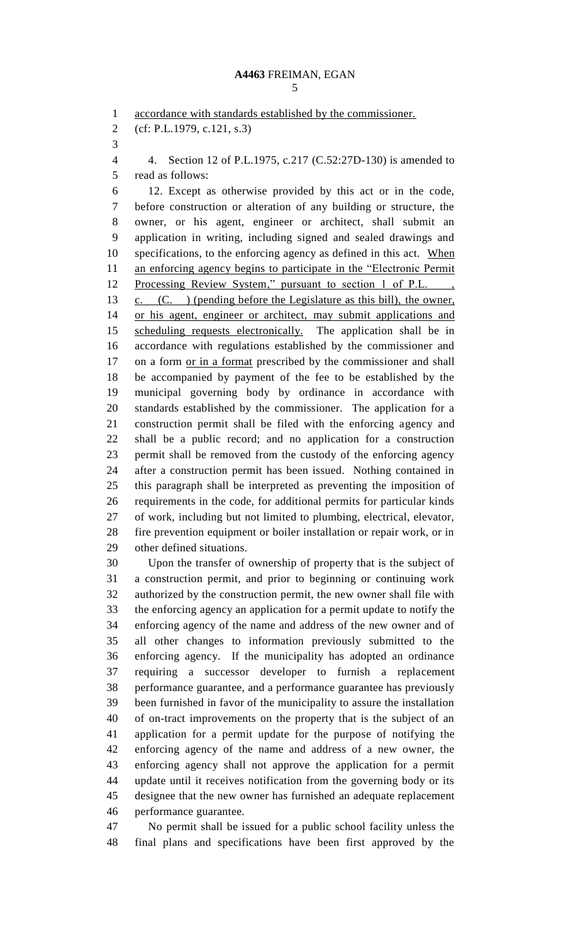## 

 accordance with standards established by the commissioner. (cf: P.L.1979, c.121, s.3) 4. Section 12 of P.L.1975, c.217 (C.52:27D-130) is amended to read as follows: 12. Except as otherwise provided by this act or in the code, before construction or alteration of any building or structure, the owner, or his agent, engineer or architect, shall submit an application in writing, including signed and sealed drawings and specifications, to the enforcing agency as defined in this act. When an enforcing agency begins to participate in the "Electronic Permit 12 Processing Review System," pursuant to section 1 of P.L. c. (C. ) (pending before the Legislature as this bill), the owner, or his agent, engineer or architect, may submit applications and 15 scheduling requests electronically. The application shall be in accordance with regulations established by the commissioner and 17 on a form <u>or in a format</u> prescribed by the commissioner and shall be accompanied by payment of the fee to be established by the municipal governing body by ordinance in accordance with standards established by the commissioner. The application for a construction permit shall be filed with the enforcing agency and shall be a public record; and no application for a construction permit shall be removed from the custody of the enforcing agency after a construction permit has been issued. Nothing contained in this paragraph shall be interpreted as preventing the imposition of requirements in the code, for additional permits for particular kinds of work, including but not limited to plumbing, electrical, elevator, fire prevention equipment or boiler installation or repair work, or in other defined situations. Upon the transfer of ownership of property that is the subject of a construction permit, and prior to beginning or continuing work authorized by the construction permit, the new owner shall file with the enforcing agency an application for a permit update to notify the enforcing agency of the name and address of the new owner and of all other changes to information previously submitted to the enforcing agency. If the municipality has adopted an ordinance requiring a successor developer to furnish a replacement performance guarantee, and a performance guarantee has previously been furnished in favor of the municipality to assure the installation of on-tract improvements on the property that is the subject of an

 application for a permit update for the purpose of notifying the enforcing agency of the name and address of a new owner, the enforcing agency shall not approve the application for a permit update until it receives notification from the governing body or its designee that the new owner has furnished an adequate replacement performance guarantee.

 No permit shall be issued for a public school facility unless the final plans and specifications have been first approved by the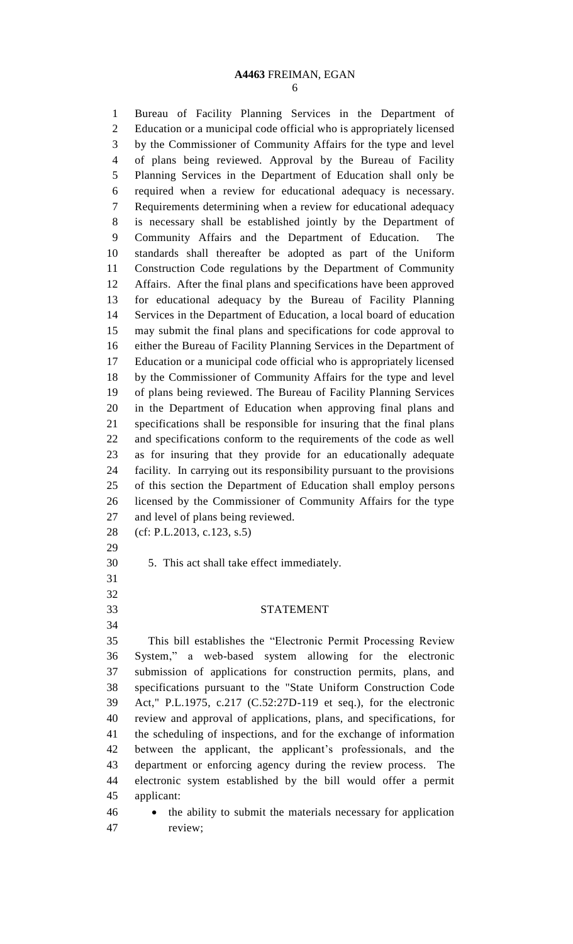Bureau of Facility Planning Services in the Department of Education or a municipal code official who is appropriately licensed by the Commissioner of Community Affairs for the type and level of plans being reviewed. Approval by the Bureau of Facility Planning Services in the Department of Education shall only be required when a review for educational adequacy is necessary. Requirements determining when a review for educational adequacy is necessary shall be established jointly by the Department of Community Affairs and the Department of Education. The standards shall thereafter be adopted as part of the Uniform Construction Code regulations by the Department of Community Affairs. After the final plans and specifications have been approved for educational adequacy by the Bureau of Facility Planning Services in the Department of Education, a local board of education may submit the final plans and specifications for code approval to either the Bureau of Facility Planning Services in the Department of Education or a municipal code official who is appropriately licensed by the Commissioner of Community Affairs for the type and level of plans being reviewed. The Bureau of Facility Planning Services in the Department of Education when approving final plans and specifications shall be responsible for insuring that the final plans and specifications conform to the requirements of the code as well as for insuring that they provide for an educationally adequate facility. In carrying out its responsibility pursuant to the provisions of this section the Department of Education shall employ persons licensed by the Commissioner of Community Affairs for the type and level of plans being reviewed. (cf: P.L.2013, c.123, s.5) 5. This act shall take effect immediately. 

## STATEMENT

 This bill establishes the "Electronic Permit Processing Review System," a web-based system allowing for the electronic submission of applications for construction permits, plans, and specifications pursuant to the "State Uniform Construction Code Act," P.L.1975, c.217 (C.52:27D-119 et seq.), for the electronic review and approval of applications, plans, and specifications, for the scheduling of inspections, and for the exchange of information between the applicant, the applicant's professionals, and the department or enforcing agency during the review process. The electronic system established by the bill would offer a permit applicant:

46 • the ability to submit the materials necessary for application review;